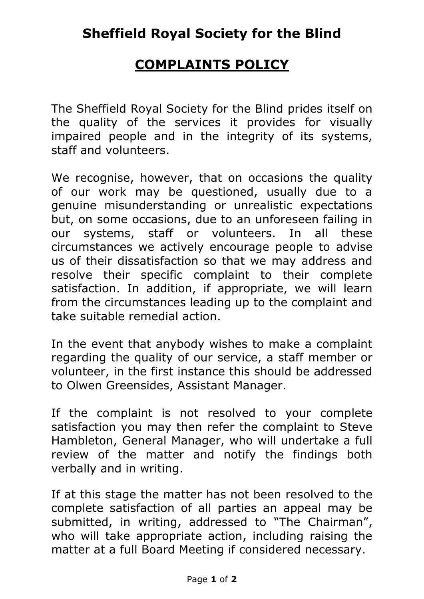## **COMPLAINTS POLICY**

The Sheffield Royal Society for the Blind prides itself on the quality of the services it provides for visually impaired people and in the integrity of its systems, staff and volunteers.

We recognise, however, that on occasions the quality of our work may be questioned, usually due to a genuine misunderstanding or unrealistic expectations but, on some occasions, due to an unforeseen failing in our systems, staff or volunteers. In all these circumstances we actively encourage people to advise us of their dissatisfaction so that we may address and resolve their specific complaint to their complete satisfaction. In addition, if appropriate, we will learn from the circumstances leading up to the complaint and take suitable remedial action.

In the event that anybody wishes to make a complaint regarding the quality of our service, a staff member or volunteer, in the first instance this should be addressed to Olwen Greensides, Assistant Manager.

If the complaint is not resolved to your complete satisfaction you may then refer the complaint to Steve Hambleton, General Manager, who will undertake a full review of the matter and notify the findings both verbally and in writing.

If at this stage the matter has not been resolved to the complete satisfaction of all parties an appeal may be submitted, in writing, addressed to "The Chairman", who will take appropriate action, including raising the matter at a full Board Meeting if considered necessary.